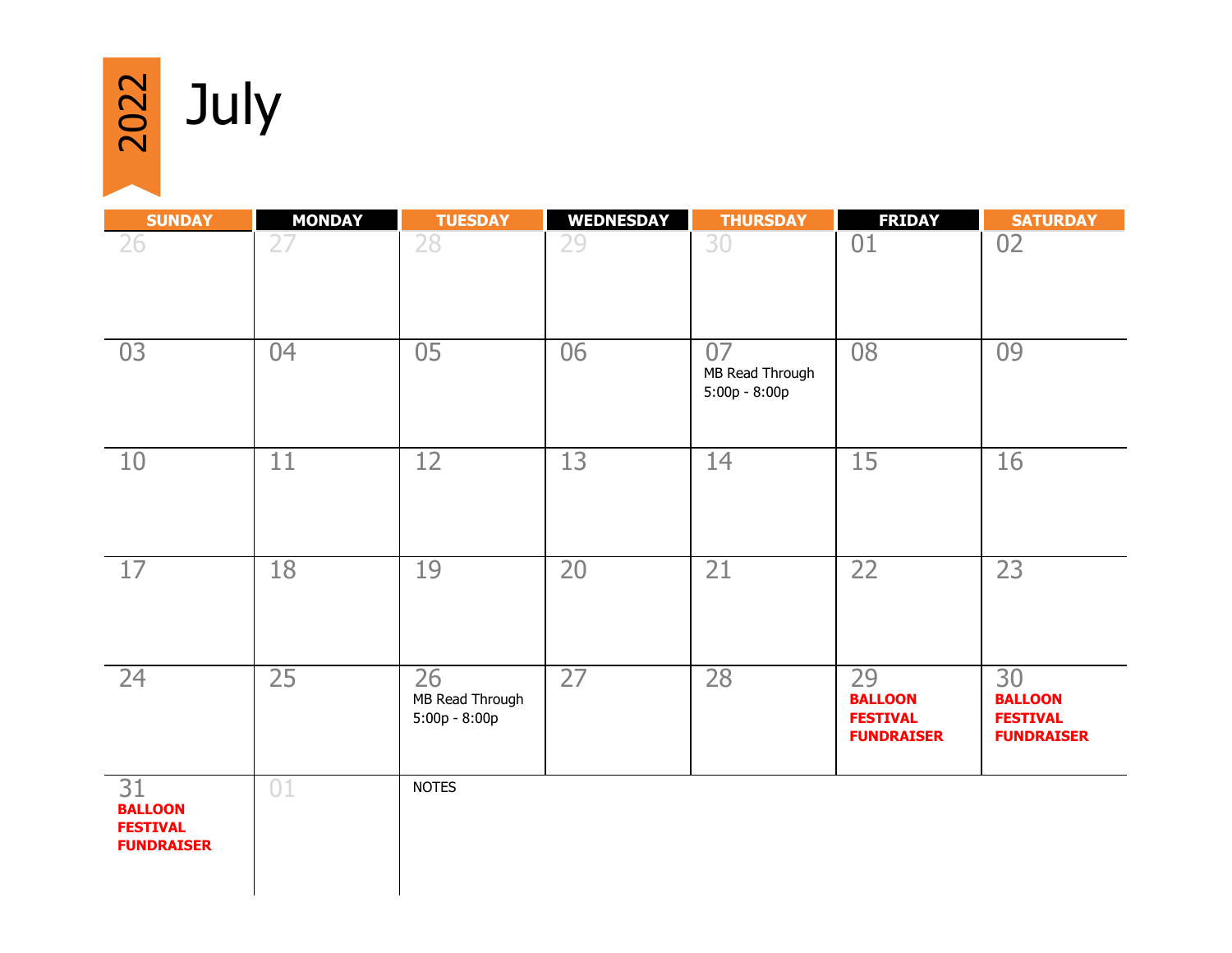$\frac{20}{2}$  July

| <b>SUNDAY</b>                                                | <b>MONDAY</b> | <b>TUESDAY</b>                           | <b>WEDNESDAY</b> | <b>THURSDAY</b>                          | <b>FRIDAY</b>                                                | <b>SATURDAY</b>                                              |
|--------------------------------------------------------------|---------------|------------------------------------------|------------------|------------------------------------------|--------------------------------------------------------------|--------------------------------------------------------------|
| 26                                                           | 27            | 28                                       | 29               | 30                                       | 01                                                           | 02                                                           |
| 03                                                           | 04            | 05                                       | 06               | 07<br>MB Read Through<br>$5:00p - 8:00p$ | 08                                                           | 09                                                           |
| 10                                                           | 11            | 12                                       | 13               | 14                                       | 15                                                           | 16                                                           |
| 17                                                           | 18            | 19                                       | 20               | 21                                       | 22                                                           | 23                                                           |
| 24                                                           | 25            | 26<br>MB Read Through<br>$5:00p - 8:00p$ | 27               | 28                                       | 29<br><b>BALLOON</b><br><b>FESTIVAL</b><br><b>FUNDRAISER</b> | 30<br><b>BALLOON</b><br><b>FESTIVAL</b><br><b>FUNDRAISER</b> |
| 31<br><b>BALLOON</b><br><b>FESTIVAL</b><br><b>FUNDRAISER</b> | 01            | <b>NOTES</b>                             |                  |                                          |                                                              |                                                              |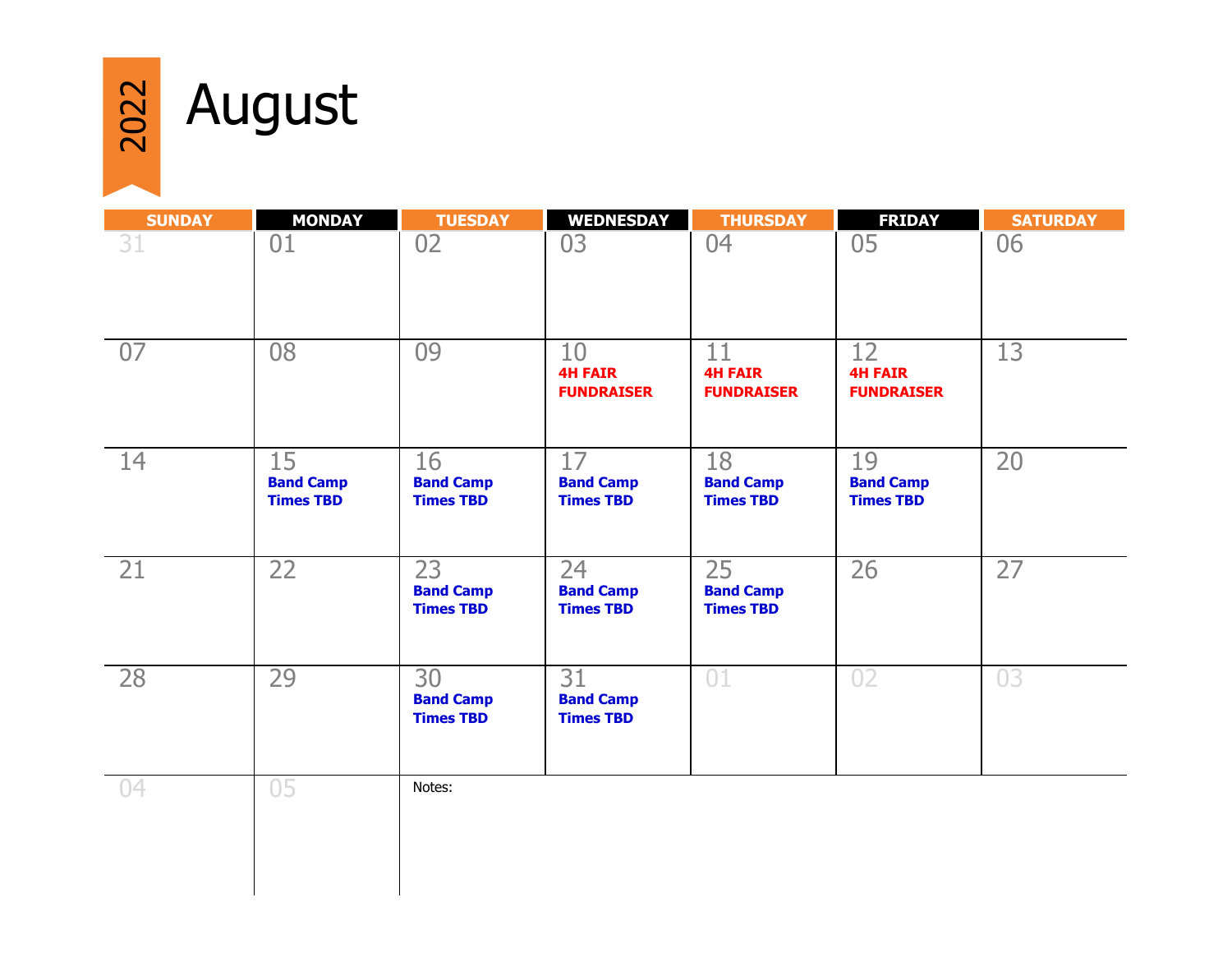

## al August

| <b>SUNDAY</b> | <b>MONDAY</b>                              | <b>TUESDAY</b>                             | <b>WEDNESDAY</b>                           | <b>THURSDAY</b>                            | <b>FRIDAY</b>                              | <b>SATURDAY</b> |
|---------------|--------------------------------------------|--------------------------------------------|--------------------------------------------|--------------------------------------------|--------------------------------------------|-----------------|
| 31            | 01                                         | 02                                         | 03                                         | 04                                         | 05                                         | 06              |
| 07            | 08                                         | 09                                         | 10<br><b>4H FAIR</b><br><b>FUNDRAISER</b>  | 11<br><b>4H FAIR</b><br><b>FUNDRAISER</b>  | 12<br><b>4H FAIR</b><br><b>FUNDRAISER</b>  | 13              |
| 14            | 15<br><b>Band Camp</b><br><b>Times TBD</b> | 16<br><b>Band Camp</b><br><b>Times TBD</b> | 17<br><b>Band Camp</b><br><b>Times TBD</b> | 18<br><b>Band Camp</b><br><b>Times TBD</b> | 19<br><b>Band Camp</b><br><b>Times TBD</b> | 20              |
| 21            | 22                                         | 23<br><b>Band Camp</b><br><b>Times TBD</b> | 24<br><b>Band Camp</b><br><b>Times TBD</b> | 25<br><b>Band Camp</b><br><b>Times TBD</b> | 26                                         | 27              |
| 28            | 29                                         | 30<br><b>Band Camp</b><br><b>Times TBD</b> | 31<br><b>Band Camp</b><br><b>Times TBD</b> | 01                                         | 02                                         | 03              |
| 04            | 05                                         | Notes:                                     |                                            |                                            |                                            |                 |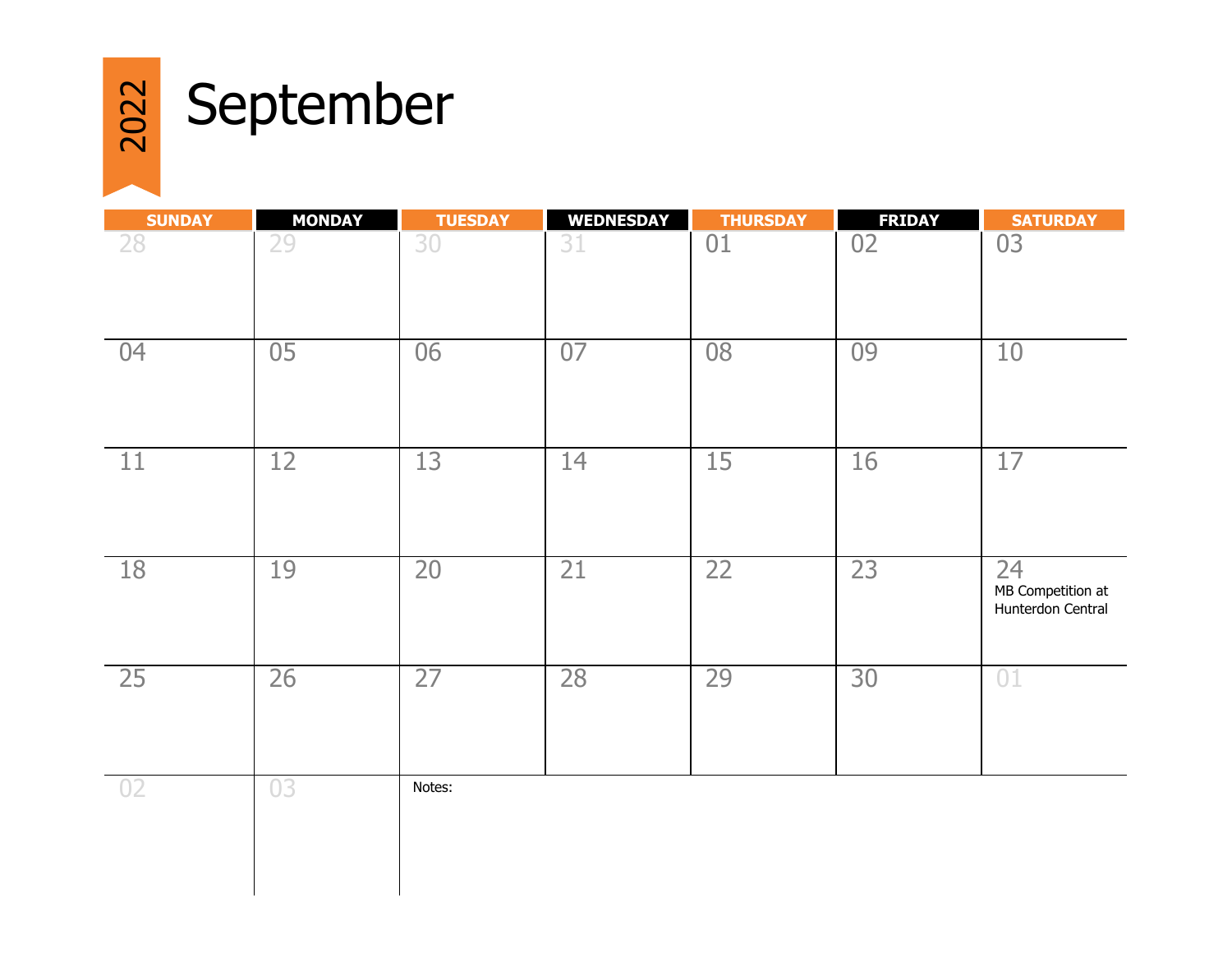

## a September

| <b>SUNDAY</b>   | <b>MONDAY</b> | <b>TUESDAY</b> | <b>WEDNESDAY</b> | <b>THURSDAY</b> | <b>FRIDAY</b> | <b>SATURDAY</b>                              |
|-----------------|---------------|----------------|------------------|-----------------|---------------|----------------------------------------------|
| 28              | 29            | 30             | 31               | 01              | 02            | 03                                           |
| 04              | 05            | 06             | 07               | 08              | 09            | 10                                           |
| 11              | 12            | 13             | 14               | 15              | 16            | 17                                           |
| 18              | 19            | 20             | 21               | 22              | 23            | 24<br>MB Competition at<br>Hunterdon Central |
| 25              | 26            | 27             | 28               | 29              | 30            | 01                                           |
| $\overline{0}2$ | 03            | Notes:         |                  |                 |               |                                              |